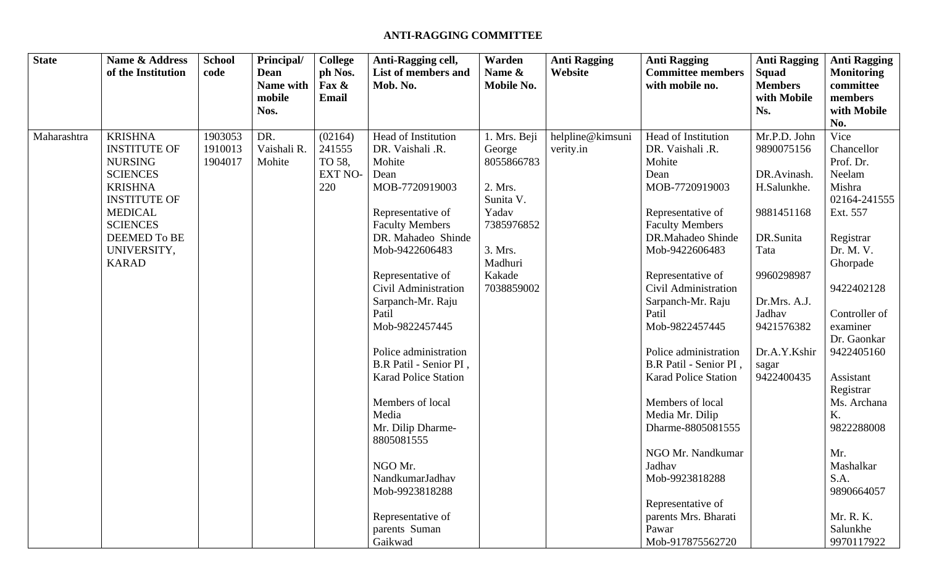## **ANTI-RAGGING COMMITTEE**

| <b>State</b> | <b>Name &amp; Address</b><br>of the Institution | <b>School</b><br>code | Principal/<br><b>Dean</b><br>Name with<br>mobile<br>Nos. | College<br>ph Nos.<br>Fax &<br><b>Email</b> | Anti-Ragging cell,<br><b>List of members and</b><br>Mob. No. | Warden<br>Name &<br><b>Mobile No.</b> | <b>Anti Ragging</b><br>Website | <b>Anti Ragging</b><br><b>Committee members</b><br>with mobile no. | <b>Anti Ragging</b><br>Squad<br><b>Members</b><br>with Mobile<br>Ns. | <b>Anti Ragging</b><br><b>Monitoring</b><br>committee<br>members<br>with Mobile<br>No. |
|--------------|-------------------------------------------------|-----------------------|----------------------------------------------------------|---------------------------------------------|--------------------------------------------------------------|---------------------------------------|--------------------------------|--------------------------------------------------------------------|----------------------------------------------------------------------|----------------------------------------------------------------------------------------|
| Maharashtra  | <b>KRISHNA</b>                                  | 1903053               | DR.                                                      | (02164)                                     | Head of Institution                                          | 1. Mrs. Beji                          | helpline@kimsuni               | Head of Institution                                                | Mr.P.D. John                                                         | Vice                                                                                   |
|              | <b>INSTITUTE OF</b>                             | 1910013               | Vaishali R.                                              | 241555                                      | DR. Vaishali .R.                                             | George                                | verity.in                      | DR. Vaishali .R.                                                   | 9890075156                                                           | Chancellor                                                                             |
|              | <b>NURSING</b>                                  | 1904017               | Mohite                                                   | TO 58,                                      | Mohite                                                       | 8055866783                            |                                | Mohite                                                             |                                                                      | Prof. Dr.                                                                              |
|              | <b>SCIENCES</b>                                 |                       |                                                          | <b>EXT NO-</b>                              | Dean                                                         |                                       |                                | Dean                                                               | DR.Avinash.                                                          | Neelam                                                                                 |
|              | <b>KRISHNA</b>                                  |                       |                                                          | 220                                         | MOB-7720919003                                               | 2. Mrs.                               |                                | MOB-7720919003                                                     | H.Salunkhe.                                                          | Mishra                                                                                 |
|              | <b>INSTITUTE OF</b>                             |                       |                                                          |                                             |                                                              | Sunita V.                             |                                |                                                                    |                                                                      | 02164-241555                                                                           |
|              | <b>MEDICAL</b>                                  |                       |                                                          |                                             | Representative of                                            | Yadav                                 |                                | Representative of                                                  | 9881451168                                                           | Ext. 557                                                                               |
|              | <b>SCIENCES</b>                                 |                       |                                                          |                                             | <b>Faculty Members</b>                                       | 7385976852                            |                                | <b>Faculty Members</b>                                             |                                                                      |                                                                                        |
|              | <b>DEEMED To BE</b>                             |                       |                                                          |                                             | DR. Mahadeo Shinde                                           |                                       |                                | DR.Mahadeo Shinde                                                  | DR.Sunita                                                            | Registrar                                                                              |
|              | UNIVERSITY,                                     |                       |                                                          |                                             | Mob-9422606483                                               | 3. Mrs.                               |                                | Mob-9422606483                                                     | Tata                                                                 | Dr. M. V.                                                                              |
|              | <b>KARAD</b>                                    |                       |                                                          |                                             |                                                              | Madhuri                               |                                |                                                                    |                                                                      | Ghorpade                                                                               |
|              |                                                 |                       |                                                          |                                             | Representative of                                            | Kakade                                |                                | Representative of                                                  | 9960298987                                                           |                                                                                        |
|              |                                                 |                       |                                                          |                                             | Civil Administration                                         | 7038859002                            |                                | Civil Administration                                               |                                                                      | 9422402128                                                                             |
|              |                                                 |                       |                                                          |                                             | Sarpanch-Mr. Raju<br>Patil                                   |                                       |                                | Sarpanch-Mr. Raju<br>Patil                                         | Dr.Mrs. A.J.<br>Jadhav                                               | Controller of                                                                          |
|              |                                                 |                       |                                                          |                                             | Mob-9822457445                                               |                                       |                                | Mob-9822457445                                                     | 9421576382                                                           | examiner                                                                               |
|              |                                                 |                       |                                                          |                                             |                                                              |                                       |                                |                                                                    |                                                                      | Dr. Gaonkar                                                                            |
|              |                                                 |                       |                                                          |                                             | Police administration                                        |                                       |                                | Police administration                                              | Dr.A.Y.Kshir                                                         | 9422405160                                                                             |
|              |                                                 |                       |                                                          |                                             | B.R Patil - Senior PI,                                       |                                       |                                | B.R Patil - Senior PI,                                             | sagar                                                                |                                                                                        |
|              |                                                 |                       |                                                          |                                             | <b>Karad Police Station</b>                                  |                                       |                                | <b>Karad Police Station</b>                                        | 9422400435                                                           | Assistant                                                                              |
|              |                                                 |                       |                                                          |                                             |                                                              |                                       |                                |                                                                    |                                                                      | Registrar                                                                              |
|              |                                                 |                       |                                                          |                                             | Members of local                                             |                                       |                                | Members of local                                                   |                                                                      | Ms. Archana                                                                            |
|              |                                                 |                       |                                                          |                                             | Media                                                        |                                       |                                | Media Mr. Dilip                                                    |                                                                      | K.                                                                                     |
|              |                                                 |                       |                                                          |                                             | Mr. Dilip Dharme-                                            |                                       |                                | Dharme-8805081555                                                  |                                                                      | 9822288008                                                                             |
|              |                                                 |                       |                                                          |                                             | 8805081555                                                   |                                       |                                |                                                                    |                                                                      |                                                                                        |
|              |                                                 |                       |                                                          |                                             |                                                              |                                       |                                | NGO Mr. Nandkumar                                                  |                                                                      | Mr.                                                                                    |
|              |                                                 |                       |                                                          |                                             | NGO Mr.                                                      |                                       |                                | Jadhav                                                             |                                                                      | Mashalkar                                                                              |
|              |                                                 |                       |                                                          |                                             | NandkumarJadhav                                              |                                       |                                | Mob-9923818288                                                     |                                                                      | S.A.                                                                                   |
|              |                                                 |                       |                                                          |                                             | Mob-9923818288                                               |                                       |                                |                                                                    |                                                                      | 9890664057                                                                             |
|              |                                                 |                       |                                                          |                                             |                                                              |                                       |                                | Representative of                                                  |                                                                      |                                                                                        |
|              |                                                 |                       |                                                          |                                             | Representative of                                            |                                       |                                | parents Mrs. Bharati                                               |                                                                      | Mr. R. K.                                                                              |
|              |                                                 |                       |                                                          |                                             | parents Suman                                                |                                       |                                | Pawar                                                              |                                                                      | Salunkhe                                                                               |
|              |                                                 |                       |                                                          |                                             | Gaikwad                                                      |                                       |                                | Mob-917875562720                                                   |                                                                      | 9970117922                                                                             |